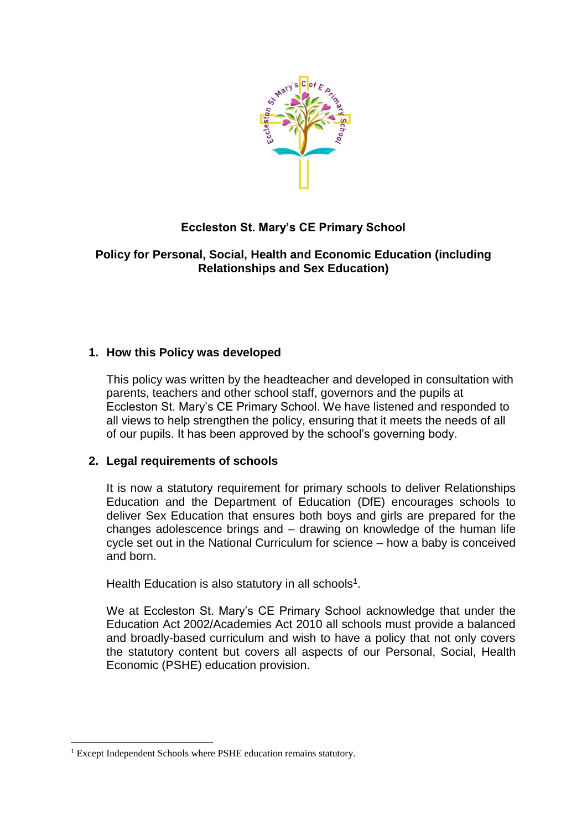

# **Eccleston St. Mary's CE Primary School**

## **Policy for Personal, Social, Health and Economic Education (including Relationships and Sex Education)**

## **1. How this Policy was developed**

This policy was written by the headteacher and developed in consultation with parents, teachers and other school staff, governors and the pupils at Eccleston St. Mary's CE Primary School. We have listened and responded to all views to help strengthen the policy, ensuring that it meets the needs of all of our pupils. It has been approved by the school's governing body.

## **2. Legal requirements of schools**

It is now a statutory requirement for primary schools to deliver Relationships Education and the Department of Education (DfE) encourages schools to deliver Sex Education that ensures both boys and girls are prepared for the changes adolescence brings and – drawing on knowledge of the human life cycle set out in the National Curriculum for science – how a baby is conceived and born.

Health Education is also statutory in all schools<sup>1</sup>.

We at Eccleston St. Mary's CE Primary School acknowledge that under the Education Act 2002/Academies Act 2010 all schools must provide a balanced and broadly-based curriculum and wish to have a policy that not only covers the statutory content but covers all aspects of our Personal, Social, Health Economic (PSHE) education provision.

**<sup>.</sup>** <sup>1</sup> Except Independent Schools where PSHE education remains statutory.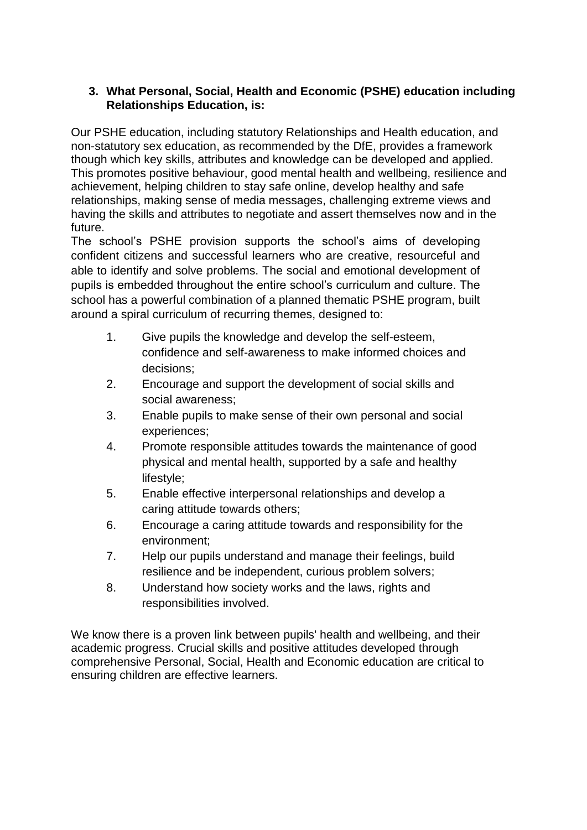## **3. What Personal, Social, Health and Economic (PSHE) education including Relationships Education, is:**

Our PSHE education, including statutory Relationships and Health education, and non-statutory sex education, as recommended by the DfE, provides a framework though which key skills, attributes and knowledge can be developed and applied. This promotes positive behaviour, good mental health and wellbeing, resilience and achievement, helping children to stay safe online, develop healthy and safe relationships, making sense of media messages, challenging extreme views and having the skills and attributes to negotiate and assert themselves now and in the future.

The school's PSHE provision supports the school's aims of developing confident citizens and successful learners who are creative, resourceful and able to identify and solve problems. The social and emotional development of pupils is embedded throughout the entire school's curriculum and culture. The school has a powerful combination of a planned thematic PSHE program, built around a spiral curriculum of recurring themes, designed to:

- 1. Give pupils the knowledge and develop the self-esteem, confidence and self-awareness to make informed choices and decisions;
- 2. Encourage and support the development of social skills and social awareness;
- 3. Enable pupils to make sense of their own personal and social experiences;
- 4. Promote responsible attitudes towards the maintenance of good physical and mental health, supported by a safe and healthy lifestyle;
- 5. Enable effective interpersonal relationships and develop a caring attitude towards others;
- 6. Encourage a caring attitude towards and responsibility for the environment;
- 7. Help our pupils understand and manage their feelings, build resilience and be independent, curious problem solvers;
- 8. Understand how society works and the laws, rights and responsibilities involved.

We know there is a proven link between pupils' health and wellbeing, and their academic progress. Crucial skills and positive attitudes developed through comprehensive Personal, Social, Health and Economic education are critical to ensuring children are effective learners.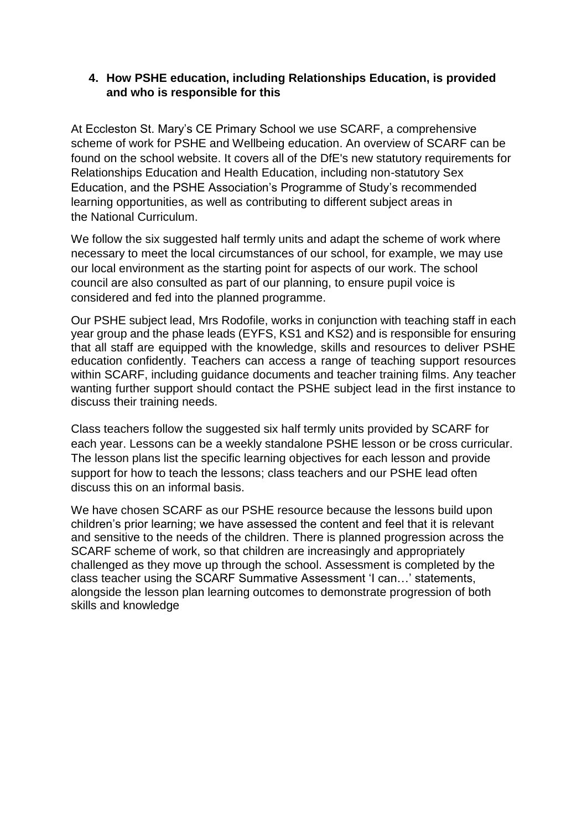#### **4. How PSHE education, including Relationships Education, is provided and who is responsible for this**

At Eccleston St. Mary's CE Primary School we use SCARF, a comprehensive scheme of work for PSHE and Wellbeing education. An overview of SCARF can be found on the school website. It covers all of the DfE's new statutory requirements for Relationships Education and Health Education, including non-statutory Sex Education, and the PSHE Association's Programme of Study's recommended learning opportunities, as well as contributing to different subject areas in the [National Curriculum.](https://www.coramlifeeducation.org.uk/scarf/national-curriculum/)

We follow the six suggested half termly units and adapt the scheme of work where necessary to meet the local circumstances of our school, for example, we may use our local environment as the starting point for aspects of our work. The school council are also consulted as part of our planning, to ensure pupil voice is considered and fed into the planned programme.

Our PSHE subject lead, Mrs Rodofile, works in conjunction with teaching staff in each year group and the phase leads (EYFS, KS1 and KS2) and is responsible for ensuring that all staff are equipped with the knowledge, skills and resources to deliver PSHE education confidently. Teachers can access a range of teaching support resources within SCARF, including guidance documents and teacher training films. Any teacher wanting further support should contact the PSHE subject lead in the first instance to discuss their training needs.

Class teachers follow the suggested six half termly units provided by SCARF for each year. Lessons can be a weekly standalone PSHE lesson or be cross curricular. The lesson plans list the specific learning objectives for each lesson and provide support for how to teach the lessons; class teachers and our PSHE lead often discuss this on an informal basis.

We have chosen SCARF as our PSHE resource because the lessons build upon children's prior learning; we have assessed the content and feel that it is relevant and sensitive to the needs of the children. There is planned progression across the SCARF scheme of work, so that children are increasingly and appropriately challenged as they move up through the school. Assessment is completed by the class teacher using the SCARF Summative Assessment 'I can…' statements, alongside the lesson plan learning outcomes to demonstrate progression of both skills and knowledge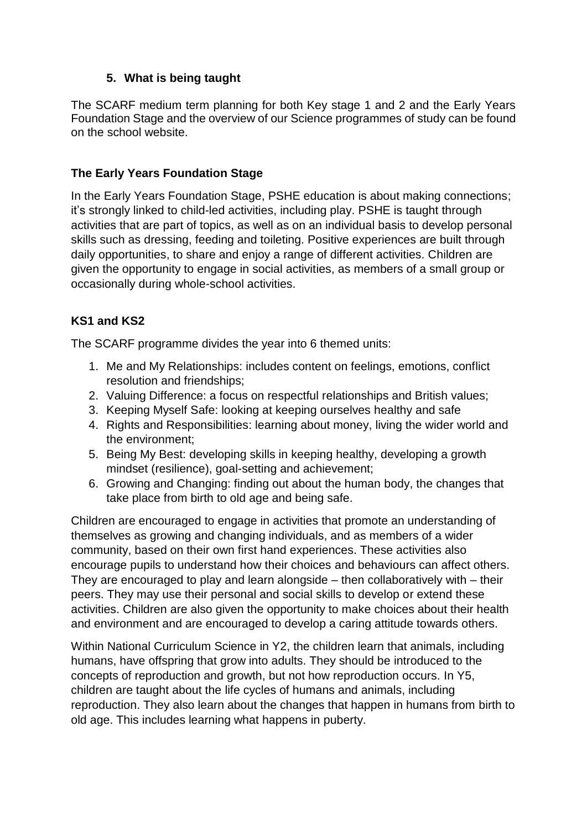## **5. What is being taught**

The SCARF medium term planning for both Key stage 1 and 2 and the Early Years Foundation Stage and the overview of our Science programmes of study can be found on the school website.

## **The Early Years Foundation Stage**

In the Early Years Foundation Stage, PSHE education is about making connections; it's strongly linked to child-led activities, including play. PSHE is taught through activities that are part of topics, as well as on an individual basis to develop personal skills such as dressing, feeding and toileting. Positive experiences are built through daily opportunities, to share and enjoy a range of different activities. Children are given the opportunity to engage in social activities, as members of a small group or occasionally during whole-school activities.

# **KS1 and KS2**

The SCARF programme divides the year into 6 themed units:

- 1. Me and My Relationships: includes content on feelings, emotions, conflict resolution and friendships;
- 2. Valuing Difference: a focus on respectful relationships and British values;
- 3. Keeping Myself Safe: looking at keeping ourselves healthy and safe
- 4. Rights and Responsibilities: learning about money, living the wider world and the environment;
- 5. Being My Best: developing skills in keeping healthy, developing a growth mindset (resilience), goal-setting and achievement;
- 6. Growing and Changing: finding out about the human body, the changes that take place from birth to old age and being safe.

Children are encouraged to engage in activities that promote an understanding of themselves as growing and changing individuals, and as members of a wider community, based on their own first hand experiences. These activities also encourage pupils to understand how their choices and behaviours can affect others. They are encouraged to play and learn alongside – then collaboratively with – their peers. They may use their personal and social skills to develop or extend these activities. Children are also given the opportunity to make choices about their health and environment and are encouraged to develop a caring attitude towards others.

Within National Curriculum Science in Y2, the children learn that animals, including humans, have offspring that grow into adults. They should be introduced to the concepts of reproduction and growth, but not how reproduction occurs. In Y5, children are taught about the life cycles of humans and animals, including reproduction. They also learn about the changes that happen in humans from birth to old age. This includes learning what happens in puberty.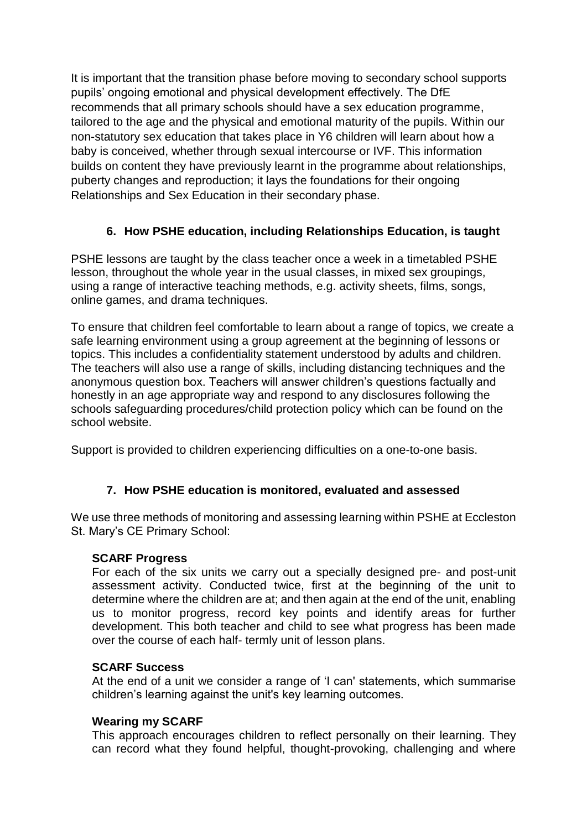It is important that the transition phase before moving to secondary school supports pupils' ongoing emotional and physical development effectively. The DfE recommends that all primary schools should have a sex education programme, tailored to the age and the physical and emotional maturity of the pupils. Within our non-statutory sex education that takes place in Y6 children will learn about how a baby is conceived, whether through sexual intercourse or IVF. This information builds on content they have previously learnt in the programme about relationships, puberty changes and reproduction; it lays the foundations for their ongoing Relationships and Sex Education in their secondary phase.

# **6. How PSHE education, including Relationships Education, is taught**

PSHE lessons are taught by the class teacher once a week in a timetabled PSHE lesson, throughout the whole year in the usual classes, in mixed sex groupings, using a range of interactive teaching methods, e.g. activity sheets, films, songs, online games, and drama techniques.

To ensure that children feel comfortable to learn about a range of topics, we create a safe learning environment using a group agreement at the beginning of lessons or topics. This includes a confidentiality statement understood by adults and children. The teachers will also use a range of skills, including distancing techniques and the anonymous question box. Teachers will answer children's questions factually and honestly in an age appropriate way and respond to any disclosures following the schools safeguarding procedures/child protection policy which can be found on the school website.

Support is provided to children experiencing difficulties on a one-to-one basis.

## **7. How PSHE education is monitored, evaluated and assessed**

We use three methods of monitoring and assessing learning within PSHE at Eccleston St. Mary's CE Primary School:

#### **SCARF Progress**

For each of the six units we carry out a specially designed pre- and post-unit assessment activity. Conducted twice, first at the beginning of the unit to determine where the children are at; and then again at the end of the unit, enabling us to monitor progress, record key points and identify areas for further development. This both teacher and child to see what progress has been made over the course of each half- termly unit of lesson plans.

#### **SCARF Success**

At the end of a unit we consider a range of 'I can' statements, which summarise children's learning against the unit's key learning outcomes.

## **Wearing my SCARF**

This approach encourages children to reflect personally on their learning. They can record what they found helpful, thought-provoking, challenging and where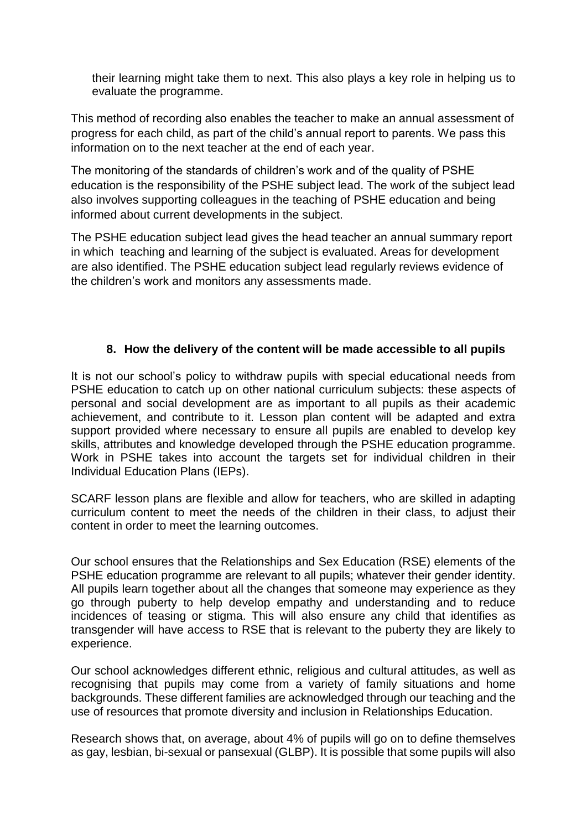their learning might take them to next. This also plays a key role in helping us to evaluate the programme.

This method of recording also enables the teacher to make an annual assessment of progress for each child, as part of the child's annual report to parents. We pass this information on to the next teacher at the end of each year.

The monitoring of the standards of children's work and of the quality of PSHE education is the responsibility of the PSHE subject lead. The work of the subject lead also involves supporting colleagues in the teaching of PSHE education and being informed about current developments in the subject.

The PSHE education subject lead gives the head teacher an annual summary report in which teaching and learning of the subject is evaluated. Areas for development are also identified. The PSHE education subject lead regularly reviews evidence of the children's work and monitors any assessments made.

#### **8. How the delivery of the content will be made accessible to all pupils**

It is not our school's policy to withdraw pupils with special educational needs from PSHE education to catch up on other national curriculum subjects: these aspects of personal and social development are as important to all pupils as their academic achievement, and contribute to it. Lesson plan content will be adapted and extra support provided where necessary to ensure all pupils are enabled to develop key skills, attributes and knowledge developed through the PSHE education programme. Work in PSHE takes into account the targets set for individual children in their Individual Education Plans (IEPs).

SCARF lesson plans are flexible and allow for teachers, who are skilled in adapting curriculum content to meet the needs of the children in their class, to adjust their content in order to meet the learning outcomes.

Our school ensures that the Relationships and Sex Education (RSE) elements of the PSHE education programme are relevant to all pupils; whatever their gender identity. All pupils learn together about all the changes that someone may experience as they go through puberty to help develop empathy and understanding and to reduce incidences of teasing or stigma. This will also ensure any child that identifies as transgender will have access to RSE that is relevant to the puberty they are likely to experience.

Our school acknowledges different ethnic, religious and cultural attitudes, as well as recognising that pupils may come from a variety of family situations and home backgrounds. These different families are acknowledged through our teaching and the use of resources that promote diversity and inclusion in Relationships Education.

Research shows that, on average, about 4% of pupils will go on to define themselves as gay, lesbian, bi-sexual or pansexual (GLBP). It is possible that some pupils will also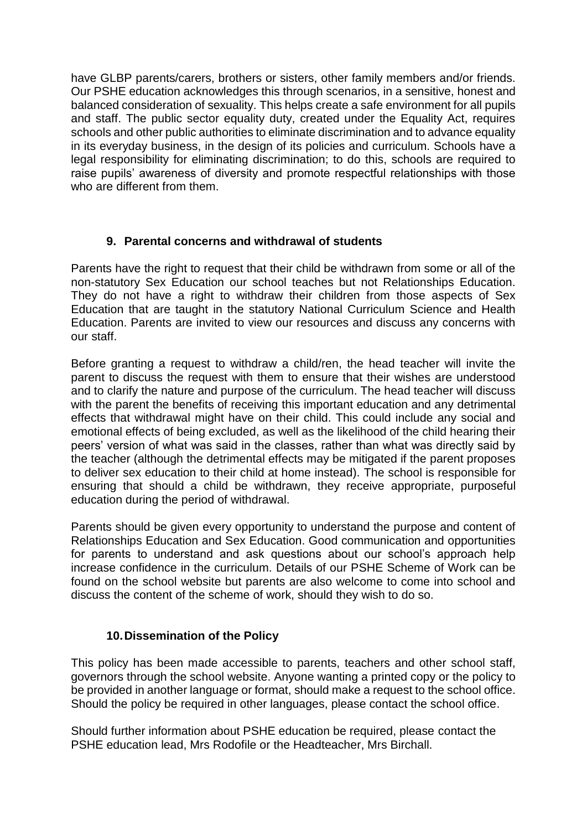have GLBP parents/carers, brothers or sisters, other family members and/or friends. Our PSHE education acknowledges this through scenarios, in a sensitive, honest and balanced consideration of sexuality. This helps create a safe environment for all pupils and staff. The public sector equality duty, created under the Equality Act, requires schools and other public authorities to eliminate discrimination and to advance equality in its everyday business, in the design of its policies and curriculum. Schools have a legal responsibility for eliminating discrimination; to do this, schools are required to raise pupils' awareness of diversity and promote respectful relationships with those who are different from them.

## **9. Parental concerns and withdrawal of students**

Parents have the right to request that their child be withdrawn from some or all of the non-statutory Sex Education our school teaches but not Relationships Education. They do not have a right to withdraw their children from those aspects of Sex Education that are taught in the statutory National Curriculum Science and Health Education. Parents are invited to view our resources and discuss any concerns with our staff.

Before granting a request to withdraw a child/ren, the head teacher will invite the parent to discuss the request with them to ensure that their wishes are understood and to clarify the nature and purpose of the curriculum. The head teacher will discuss with the parent the benefits of receiving this important education and any detrimental effects that withdrawal might have on their child. This could include any social and emotional effects of being excluded, as well as the likelihood of the child hearing their peers' version of what was said in the classes, rather than what was directly said by the teacher (although the detrimental effects may be mitigated if the parent proposes to deliver sex education to their child at home instead). The school is responsible for ensuring that should a child be withdrawn, they receive appropriate, purposeful education during the period of withdrawal.

Parents should be given every opportunity to understand the purpose and content of Relationships Education and Sex Education. Good communication and opportunities for parents to understand and ask questions about our school's approach help increase confidence in the curriculum. Details of our PSHE Scheme of Work can be found on the school website but parents are also welcome to come into school and discuss the content of the scheme of work, should they wish to do so.

# **10.Dissemination of the Policy**

This policy has been made accessible to parents, teachers and other school staff, governors through the school website. Anyone wanting a printed copy or the policy to be provided in another language or format, should make a request to the school office. Should the policy be required in other languages, please contact the school office.

Should further information about PSHE education be required, please contact the PSHE education lead, Mrs Rodofile or the Headteacher, Mrs Birchall.